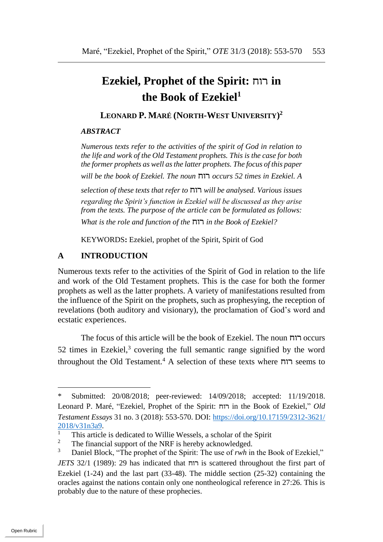# **Ezekiel, Prophet of the Spirit:** רוח **in the Book of Ezekiel<sup>1</sup>**

# **LEONARD P. MARÉ (NORTH-WEST UNIVERSITY) 2**

#### *ABSTRACT*

*Numerous texts refer to the activities of the spirit of God in relation to the life and work of the Old Testament prophets. This is the case for both the former prophets as well as the latter prophets. The focus of this paper will be the book of Ezekiel. The noun* רוח *occurs 52 times in Ezekiel. A* 

*selection of these texts that refer to* רוח *will be analysed. Various issues regarding the Spirit's function in Ezekiel will be discussed as they arise from the texts. The purpose of the article can be formulated as follows: What is the role and function of the* רוח *in the Book of Ezekiel?*

KEYWORDS**:** Ezekiel, prophet of the Spirit, Spirit of God

#### **A INTRODUCTION**

Numerous texts refer to the activities of the Spirit of God in relation to the life and work of the Old Testament prophets. This is the case for both the former prophets as well as the latter prophets. A variety of manifestations resulted from the influence of the Spirit on the prophets, such as prophesying, the reception of revelations (both auditory and visionary), the proclamation of God's word and ecstatic experiences.

The focus of this article will be the book of Ezekiel. The noun רוח occurs 52 times in Ezekiel, $3$  covering the full semantic range signified by the word throughout the Old Testament.<sup>4</sup> A selection of these texts where רוח seems to

<sup>\*</sup> Submitted: 20/08/2018; peer-reviewed: 14/09/2018; accepted: 11/19/2018. Leonard P. Maré, "Ezekiel, Prophet of the Spirit: רוח in the Book of Ezekiel," *Old Testament Essays* 31 no. 3 (2018): 553-570. DOI: [https://doi.org/10.17159/2312-3621/](https://doi.org/10.17159/2312-3621/2018/v31n3a9)  $\frac{2018}{\sqrt{31n3a^9}}$ .

<sup>&</sup>lt;sup>1</sup> This article is dedicated to Willie Wessels, a scholar of the Spirit  $\frac{2}{3}$ .

<sup>&</sup>lt;sup>2</sup> The financial support of the NRF is hereby acknowledged.<br><sup>3</sup> Daniel Block "The prophet of the Spirit: The use of ruck in

Daniel Block, "The prophet of the Spirit: The use of *rwh* in the Book of Ezekiel," *JETS* 32/1 (1989): 29 has indicated that רוח is scattered throughout the first part of Ezekiel (1-24) and the last part (33-48). The middle section (25-32) containing the oracles against the nations contain only one nontheological reference in 27:26. This is probably due to the nature of these prophecies.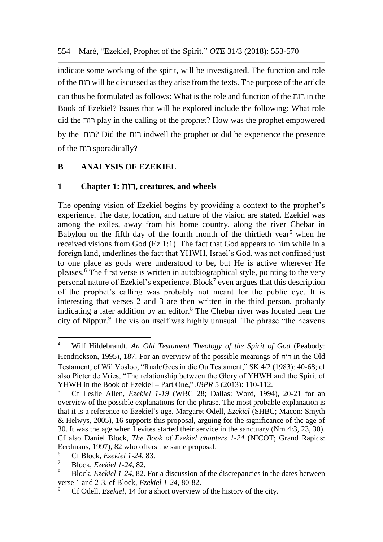indicate some working of the spirit, will be investigated. The function and role of the רוח will be discussed as they arise from the texts. The purpose of the article can thus be formulated as follows: What is the role and function of the רוח  $\overline{\phantom{a}}$  in the Book of Ezekiel? Issues that will be explored include the following: What role did the רוח play in the calling of the prophet? How was the prophet empowered by the רוח ?Did the רוח indwell the prophet or did he experience the presence of the רוח sporadically?

# **B ANALYSIS OF EZEKIEL**

## **1 Chapter 1:** רוח**, creatures, and wheels**

The opening vision of Ezekiel begins by providing a context to the prophet's experience. The date, location, and nature of the vision are stated. Ezekiel was among the exiles, away from his home country, along the river Chebar in Babylon on the fifth day of the fourth month of the thirtieth year<sup>5</sup> when he received visions from God (Ez 1:1). The fact that God appears to him while in a foreign land, underlines the fact that YHWH, Israel's God, was not confined just to one place as gods were understood to be, but He is active wherever He pleases.<sup>6</sup> The first verse is written in autobiographical style, pointing to the very personal nature of Ezekiel's experience. Block<sup>7</sup> even argues that this description of the prophet's calling was probably not meant for the public eye. It is interesting that verses 2 and 3 are then written in the third person, probably indicating a later addition by an editor.<sup>8</sup> The Chebar river was located near the city of Nippur.<sup>9</sup> The vision itself was highly unusual. The phrase "the heavens

l

<sup>4</sup> Wilf Hildebrandt, *An Old Testament Theology of the Spirit of God* (Peabody: Hendrickson, 1995), 187. For an overview of the possible meanings of רוח in the Old Testament, cf Wil Vosloo, "Ruah/Gees in die Ou Testament," SK 4/2 (1983): 40-68; cf also Pieter de Vries, "The relationship between the Glory of YHWH and the Spirit of YHWH in the Book of Ezekiel – Part One," *JBPR* 5 (2013): 110-112.

<sup>5</sup> Cf Leslie Allen, *Ezekiel 1-19* (WBC 28; Dallas: Word, 1994), 20-21 for an overview of the possible explanations for the phrase. The most probable explanation is that it is a reference to Ezekiel's age. Margaret Odell, *Ezekiel* (SHBC; Macon: Smyth & Helwys, 2005), 16 supports this proposal, arguing for the significance of the age of 30. It was the age when Levites started their service in the sanctuary (Nm 4:3, 23, 30). Cf also Daniel Block, *The Book of Ezekiel chapters 1-24* (NICOT; Grand Rapids: Eerdmans, 1997), 82 who offers the same proposal.

<sup>6</sup> Cf Block, *Ezekiel 1-24*, 83.

<sup>7</sup> Block, *Ezekiel 1-24,* 82.

<sup>8</sup> Block, *Ezekiel 1-24,* 82. For a discussion of the discrepancies in the dates between verse 1 and 2-3, cf Block, *Ezekiel 1-24*, 80-82.

<sup>9</sup> Cf Odell, *Ezekiel*, 14 for a short overview of the history of the city.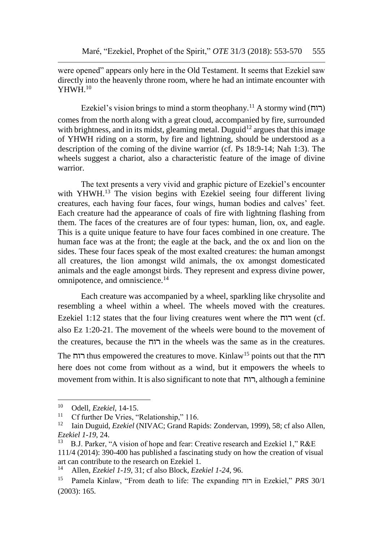were opened" appears only here in the Old Testament. It seems that Ezekiel saw directly into the heavenly throne room, where he had an intimate encounter with YHWH<sup>10</sup>

Ezekiel's vision brings to mind a storm theophany.<sup>11</sup> A stormy wind (רוח) comes from the north along with a great cloud, accompanied by fire, surrounded with brightness, and in its midst, gleaming metal. Duguid<sup>12</sup> argues that this image of YHWH riding on a storm, by fire and lightning, should be understood as a description of the coming of the divine warrior (cf. Ps 18:9-14; Nah 1:3). The wheels suggest a chariot, also a characteristic feature of the image of divine warrior.

The text presents a very vivid and graphic picture of Ezekiel's encounter with YHWH.<sup>13</sup> The vision begins with Ezekiel seeing four different living creatures, each having four faces, four wings, human bodies and calves' feet. Each creature had the appearance of coals of fire with lightning flashing from them. The faces of the creatures are of four types: human, lion, ox, and eagle. This is a quite unique feature to have four faces combined in one creature. The human face was at the front; the eagle at the back, and the ox and lion on the sides. These four faces speak of the most exalted creatures: the human amongst all creatures, the lion amongst wild animals, the ox amongst domesticated animals and the eagle amongst birds. They represent and express divine power, omnipotence, and omniscience.<sup>14</sup>

Each creature was accompanied by a wheel, sparkling like chrysolite and resembling a wheel within a wheel. The wheels moved with the creatures. Ezekiel 1:12 states that the four living creatures went where the רוח went (cf. also Ez 1:20-21. The movement of the wheels were bound to the movement of the creatures, because the רוח in the wheels was the same as in the creatures. The רוח thus empowered the creatures to move. Kinlaw<sup>15</sup> points out that the רוח here does not come from without as a wind, but it empowers the wheels to movement from within. It is also significant to note that רוח, although a feminine

<sup>10</sup> Odell, *Ezekiel,* 14-15.

<sup>&</sup>lt;sup>11</sup> Cf further De Vries, "Relationship," 116.<br><sup>12</sup> Iain Duquid *Ezekiel* (NIVAC: Grand Ran

<sup>12</sup> Iain Duguid, *Ezekiel* (NIVAC; Grand Rapids: Zondervan, 1999), 58; cf also Allen, *Ezekiel 1-19*, 24.

<sup>13</sup> B.J. Parker, "A vision of hope and fear: Creative research and Ezekiel 1," R&E 111/4 (2014): 390-400 has published a fascinating study on how the creation of visual art can contribute to the research on Ezekiel 1.<br> $^{14}$  Allen Ezekiel 1-10, 31: of also Block Eze

<sup>14</sup> Allen, *Ezekiel 1-19,* 31; cf also Block, *Ezekiel 1-24*, 96.

<sup>15</sup> Pamela Kinlaw, "From death to life: The expanding רוח in Ezekiel," *PRS* 30/1 (2003): 165.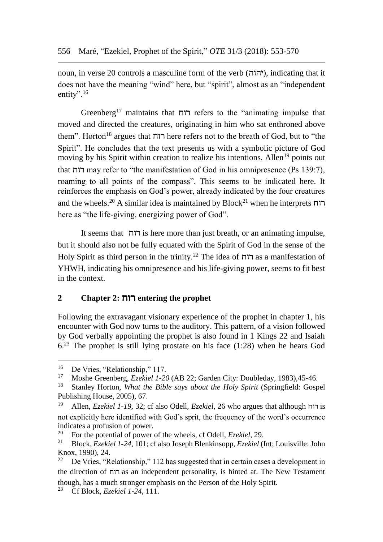noun, in verse 20 controls a masculine form of the verb (יהוה), indicating that it does not have the meaning "wind" here, but "spirit", almost as an "independent entity".<sup>16</sup>

Greenberg<sup>17</sup> maintains that רוח refers to the "animating impulse that moved and directed the creatures, originating in him who sat enthroned above them". Horton<sup>18</sup> argues that רוח here refers not to the breath of God, but to "the Spirit". He concludes that the text presents us with a symbolic picture of God moving by his Spirit within creation to realize his intentions. Allen<sup>19</sup> points out that רוח may refer to "the manifestation of God in his omnipresence (Ps 139:7), roaming to all points of the compass". This seems to be indicated here. It reinforces the emphasis on God's power, already indicated by the four creatures and the wheels.<sup>20</sup> A similar idea is maintained by Block<sup>21</sup> when he interprets  $\Gamma$ here as "the life-giving, energizing power of God".

It seems that רוח is here more than just breath, or an animating impulse, but it should also not be fully equated with the Spirit of God in the sense of the Holy Spirit as third person in the trinity.<sup>22</sup> The idea of רוח as a manifestation of YHWH, indicating his omnipresence and his life-giving power, seems to fit best in the context.

#### **2 Chapter 2:** רוח **entering the prophet**

Following the extravagant visionary experience of the prophet in chapter 1, his encounter with God now turns to the auditory. This pattern, of a vision followed by God verbally appointing the prophet is also found in 1 Kings 22 and Isaiah  $6<sup>23</sup>$  The prophet is still lying prostate on his face (1:28) when he hears God

l

<sup>&</sup>lt;sup>16</sup> De Vries, "Relationship," 117.<br><sup>17</sup> Moshe Greenberg, Eachiel 1.20

<sup>&</sup>lt;sup>17</sup> Moshe Greenberg, *Ezekiel 1-20* (AB 22; Garden City: Doubleday, 1983), 45-46.<br><sup>18</sup> Stanley Horton, *What the Bible says about the Holy Spirit* (Springfield: Gosp

<sup>18</sup> Stanley Horton, *What the Bible says about the Holy Spirit* (Springfield: Gospel Publishing House, 2005), 67.

<sup>19</sup> Allen, *Ezekiel 1-19,* 32; cf also Odell, *Ezekiel*, 26 who argues that although רוח is not explicitly here identified with God's sprit, the frequency of the word's occurrence indicates a profusion of power.

<sup>&</sup>lt;sup>20</sup> For the potential of power of the wheels, cf Odell, *Ezekiel*, 29.<br><sup>21</sup> Block *Ezekiel 1-24*, 101; cf also Joseph Blenkinsopp, *Ezekiel* (1

<sup>21</sup> Block, *Ezekiel 1-24*, 101; cf also Joseph Blenkinsopp, *Ezekiel* (Int; Louisville: John Knox, 1990), 24.<br> $^{22}$  De Vries "R

De Vries, "Relationship," 112 has suggested that in certain cases a development in the direction of רוח as an independent personality, is hinted at. The New Testament though, has a much stronger emphasis on the Person of the Holy Spirit.

<sup>23</sup> Cf Block, *Ezekiel 1-24*, 111.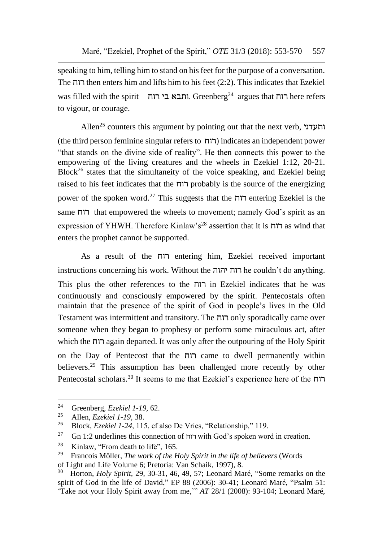speaking to him, telling him to stand on his feet for the purpose of a conversation. The רוח then enters him and lifts him to his feet (2:2). This indicates that Ezekiel was filled with the spirit – ותבא בי רוח. Greenberg<sup>24</sup> argues that והח here refers to vigour, or courage.

Allen<sup>25</sup> counters this argument by pointing out that the next verb, ותעדני (the third person feminine singular refers to רוח (indicates an independent power "that stands on the divine side of reality". He then connects this power to the empowering of the living creatures and the wheels in Ezekiel 1:12, 20-21.  $Block<sup>26</sup>$  states that the simultaneity of the voice speaking, and Ezekiel being raised to his feet indicates that the רוח probably is the source of the energizing power of the spoken word.<sup>27</sup> This suggests that the רוח entering Ezekiel is the same רוח that empowered the wheels to movement; namely God's spirit as an expression of YHWH. Therefore Kinlaw's<sup>28</sup> assertion that it is רוח as wind that enters the prophet cannot be supported.

As a result of the רוח entering him, Ezekiel received important instructions concerning his work. Without the יהוה רוח he couldn't do anything. This plus the other references to the רוח in Ezekiel indicates that he was continuously and consciously empowered by the spirit. Pentecostals often maintain that the presence of the spirit of God in people's lives in the Old Testament was intermittent and transitory. The רוח only sporadically came over someone when they began to prophesy or perform some miraculous act, after which the רוח again departed. It was only after the outpouring of the Holy Spirit on the Day of Pentecost that the רוח came to dwell permanently within believers.<sup>29</sup> This assumption has been challenged more recently by other Pentecostal scholars.<sup>30</sup> It seems to me that Ezekiel's experience here of the רוח

 $\overline{a}$ 

of Light and Life Volume 6; Pretoria: Van Schaik, 1997), 8.

<sup>&</sup>lt;sup>24</sup> Greenberg, *Ezekiel 1-19*, 62.<br><sup>25</sup> Allan *Exekiel 1-10*, 29.

<sup>25</sup> Allen, *Ezekiel 1-19,* 38.

<sup>26</sup> Block, *Ezekiel 1-24,* 115, cf also De Vries, "Relationship," 119.

<sup>&</sup>lt;sup>27</sup> Gn 1:2 underlines this connection of רוח with God's spoken word in creation.

<sup>&</sup>lt;sup>28</sup> Kinlaw, "From death to life", 165.

<sup>29</sup> Francois Möller, *The work of the Holy Spirit in the life of believers* (Words

<sup>30</sup> Horton, *Holy Spirit,* 29, 30-31, 46, 49, 57; Leonard Maré, "Some remarks on the spirit of God in the life of David," EP 88 (2006): 30-41; Leonard Maré, "Psalm 51: 'Take not your Holy Spirit away from me,'" *AT* 28/1 (2008): 93-104; Leonard Maré,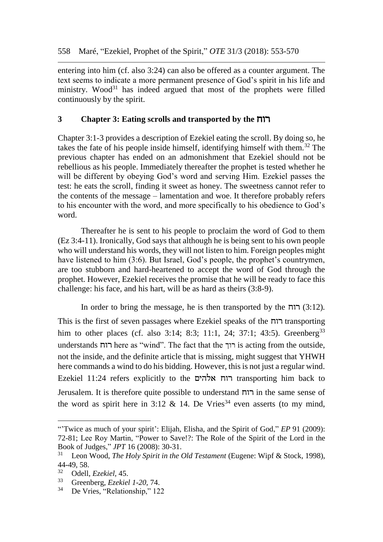entering into him (cf. also 3:24) can also be offered as a counter argument. The text seems to indicate a more permanent presence of God's spirit in his life and ministry. Wood $31$  has indeed argued that most of the prophets were filled continuously by the spirit.

#### **3 Chapter 3: Eating scrolls and transported by the** רוח

Chapter 3:1-3 provides a description of Ezekiel eating the scroll. By doing so, he takes the fate of his people inside himself, identifying himself with them.<sup>32</sup> The previous chapter has ended on an admonishment that Ezekiel should not be rebellious as his people. Immediately thereafter the prophet is tested whether he will be different by obeying God's word and serving Him. Ezekiel passes the test: he eats the scroll, finding it sweet as honey. The sweetness cannot refer to the contents of the message – lamentation and woe. It therefore probably refers to his encounter with the word, and more specifically to his obedience to God's word.

Thereafter he is sent to his people to proclaim the word of God to them (Ez 3:4-11). Ironically, God says that although he is being sent to his own people who will understand his words, they will not listen to him. Foreign peoples might have listened to him (3:6). But Israel, God's people, the prophet's countrymen, are too stubborn and hard-heartened to accept the word of God through the prophet. However, Ezekiel receives the promise that he will be ready to face this challenge: his face, and his hart, will be as hard as theirs (3:8-9).

In order to bring the message, he is then transported by the רוח) 3:12(*.*  This is the first of seven passages where Ezekiel speaks of the רוח transporting him to other places (cf. also 3:14; 8:3; 11:1, 24; 37:1; 43:5). Greenberg<sup>33</sup> understands רוח here as "wind". The fact that the רוך is acting from the outside, not the inside, and the definite article that is missing, might suggest that YHWH here commands a wind to do his bidding. However, this is not just a regular wind. Ezekiel 11:24 refers explicitly to the אלהים רוח transporting him back to Jerusalem. It is therefore quite possible to understand רוח in the same sense of the word as spirit here in 3:12  $\&$  14. De Vries<sup>34</sup> even asserts (to my mind,

<sup>&</sup>quot;Twice as much of your spirit': Elijah, Elisha, and the Spirit of God," *EP* 91 (2009): 72-81; Lee Roy Martin, "Power to Save!?: The Role of the Spirit of the Lord in the Book of Judges," *JPT* 16 (2008): 30-31.

<sup>&</sup>lt;sup>31</sup> Leon Wood, *The Holy Spirit in the Old Testament* (Eugene: Wipf & Stock, 1998),  $44-49, 58.$ <br> $32 \quad \text{Od}^{11}$ 

<sup>32</sup> Odell, *Ezekiel,* 45.

<sup>&</sup>lt;sup>33</sup> Greenberg, *Ezekiel 1-20*, 74.<br><sup>34</sup> De Vries "Relationship" 12

De Vries, "Relationship," 122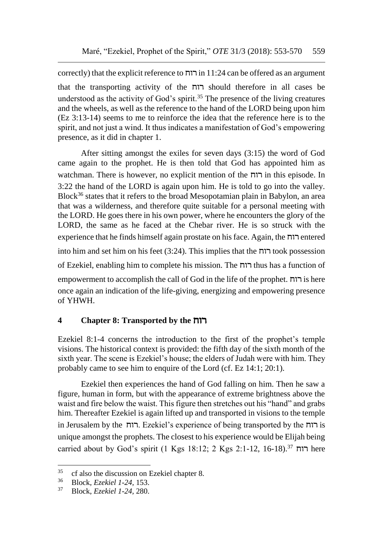correctly) that the explicit reference to רוח  $11:24$  can be offered as an argument that the transporting activity of the רוח should therefore in all cases be understood as the activity of God's spirit.<sup>35</sup> The presence of the living creatures and the wheels, as well as the reference to the hand of the LORD being upon him (Ez 3:13-14) seems to me to reinforce the idea that the reference here is to the spirit, and not just a wind. It thus indicates a manifestation of God's empowering presence, as it did in chapter 1.

After sitting amongst the exiles for seven days (3:15) the word of God came again to the prophet. He is then told that God has appointed him as watchman. There is however, no explicit mention of the רוח in this episode. In 3:22 the hand of the LORD is again upon him. He is told to go into the valley. Block<sup>36</sup> states that it refers to the broad Mesopotamian plain in Babylon, an area that was a wilderness, and therefore quite suitable for a personal meeting with the LORD. He goes there in his own power, where he encounters the glory of the LORD, the same as he faced at the Chebar river. He is so struck with the experience that he finds himself again prostate on his face. Again, the רוח entered into him and set him on his feet (3:24). This implies that the רוח took possession of Ezekiel, enabling him to complete his mission. The רוח thus has a function of empowerment to accomplish the call of God in the life of the prophet. רוח is here once again an indication of the life-giving, energizing and empowering presence of YHWH.

# **4 Chapter 8: Transported by the** רוח

Ezekiel 8:1-4 concerns the introduction to the first of the prophet's temple visions. The historical context is provided: the fifth day of the sixth month of the sixth year. The scene is Ezekiel's house; the elders of Judah were with him. They probably came to see him to enquire of the Lord (cf. Ez 14:1; 20:1).

Ezekiel then experiences the hand of God falling on him. Then he saw a figure, human in form, but with the appearance of extreme brightness above the waist and fire below the waist. This figure then stretches out his "hand" and grabs him. Thereafter Ezekiel is again lifted up and transported in visions to the temple in Jerusalem by the רוח. Ezekiel's experience of being transported by the רוח is unique amongst the prophets. The closest to his experience would be Elijah being carried about by God's spirit (1 Kgs 18:12; 2 Kgs 2:1-12, 16-18).<sup>37</sup> רוח here

 $^{35}$  cf also the discussion on Ezekiel chapter 8.<br> $^{36}$  Plock Ezekiel 1.24, 152

<sup>36</sup> Block, *Ezekiel 1-24,* 153.

<sup>37</sup> Block, *Ezekiel 1-24,* 280.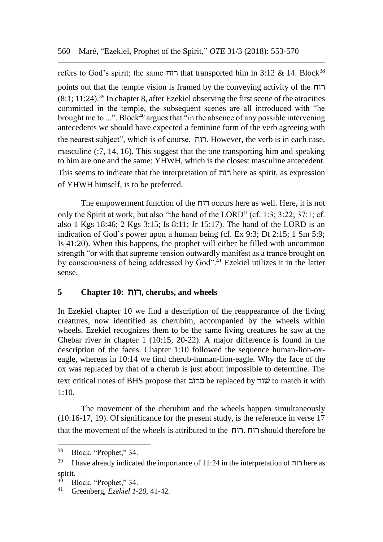refers to God's spirit; the same רוח that transported him in 3:12 & 14. Block<sup>38</sup> points out that the temple vision is framed by the conveying activity of the רוח  $(8:1; 11:24).$ <sup>39</sup> In chapter 8, after Ezekiel observing the first scene of the atrocities committed in the temple, the subsequent scenes are all introduced with "he brought me to  $\ldots$ ". Block<sup>40</sup> argues that  $\ddot{\cdot}$  in the absence of any possible intervening antecedents we should have expected a feminine form of the verb agreeing with the nearest subject", which is of course, רוח. However, the verb is in each case, masculine (:7, 14, 16). This suggest that the one transporting him and speaking to him are one and the same: YHWH, which is the closest masculine antecedent. This seems to indicate that the interpretation of רוח here as spirit, as expression of YHWH himself, is to be preferred.

The empowerment function of the רוח occurs here as well. Here, it is not only the Spirit at work, but also "the hand of the LORD" (cf. 1:3; 3:22; 37:1; cf. also 1 Kgs 18:46; 2 Kgs 3:15; Is 8:11; Jr 15:17). The hand of the LORD is an indication of God's power upon a human being (cf. Ex 9:3; Dt 2:15; 1 Sm 5:9; Is 41:20). When this happens, the prophet will either be filled with uncommon strength "or with that supreme tension outwardly manifest as a trance brought on by consciousness of being addressed by God". <sup>41</sup> Ezekiel utilizes it in the latter sense.

## **5 Chapter 10:** רוח**, cherubs, and wheels**

In Ezekiel chapter 10 we find a description of the reappearance of the living creatures, now identified as cherubim, accompanied by the wheels within wheels. Ezekiel recognizes them to be the same living creatures he saw at the Chebar river in chapter 1 (10:15, 20-22). A major difference is found in the description of the faces. Chapter 1:10 followed the sequence human-lion-oxeagle, whereas in 10:14 we find cherub-human-lion-eagle. Why the face of the ox was replaced by that of a cherub is just about impossible to determine. The text critical notes of BHS propose that כרוב be replaced by שור to match it with 1:10.

The movement of the cherubim and the wheels happen simultaneously (10:16-17, 19). Of significance for the present study, is the reference in verse 17 that the movement of the wheels is attributed to the רוח. רוח should therefore be

<sup>38</sup> Block, "Prophet," 34.

<sup>&</sup>lt;sup>39</sup> I have already indicated the importance of 11:24 in the interpretation of רוח here as spirit.<br> $40\quad\text{R}$ 

 $^{40}$  Block, "Prophet," 34.

<sup>41</sup> Greenberg, *Ezekiel 1-20*, 41-42.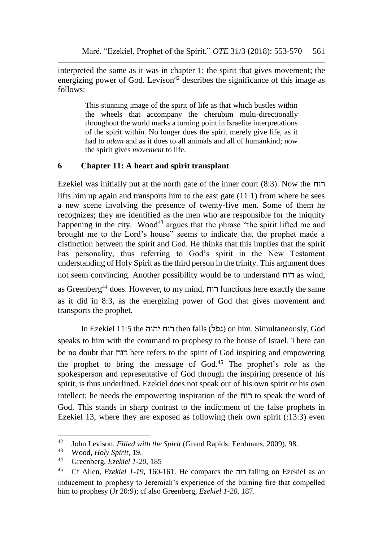interpreted the same as it was in chapter 1: the spirit that gives movement; the energizing power of God. Levison<sup>42</sup> describes the significance of this image as follows:

> This stunning image of the spirit of life as that which bustles within the wheels that accompany the cherubim multi-directionally throughout the world marks a turning point in Israelite interpretations of the spirit within. No longer does the spirit merely give life, as it had to *adam* and as it does to all animals and all of humankind; now the spirit gives *movement* to life.

# **6 Chapter 11: A heart and spirit transplant**

Ezekiel was initially put at the north gate of the inner court (8:3). Now the רוח lifts him up again and transports him to the east gate (11:1) from where he sees a new scene involving the presence of twenty-five men. Some of them he recognizes; they are identified as the men who are responsible for the iniquity happening in the city. Wood<sup>43</sup> argues that the phrase "the spirit lifted me and brought me to the Lord's house" seems to indicate that the prophet made a distinction between the spirit and God. He thinks that this implies that the spirit has personality, thus referring to God's spirit in the New Testament understanding of Holy Spirit as the third person in the trinity. This argument does not seem convincing. Another possibility would be to understand רוח as wind,

as Greenberg<sup>44</sup> does. However, to my mind, רוח functions here exactly the same as it did in 8:3, as the energizing power of God that gives movement and transports the prophet.

In Ezekiel 11:5 the יהוה רוח then falls (נפל (on him. Simultaneously, God speaks to him with the command to prophesy to the house of Israel. There can be no doubt that רוח here refers to the spirit of God inspiring and empowering the prophet to bring the message of God.<sup>45</sup> The prophet's role as the spokesperson and representative of God through the inspiring presence of his spirit, is thus underlined. Ezekiel does not speak out of his own spirit or his own intellect; he needs the empowering inspiration of the  $\pi$ רוח to speak the word of God. This stands in sharp contrast to the indictment of the false prophets in Ezekiel 13, where they are exposed as following their own spirit (:13:3) even

l

<sup>&</sup>lt;sup>42</sup> John Levison, *Filled with the Spirit* (Grand Rapids: Eerdmans, 2009), 98.<br><sup>43</sup> Wood, Hely Spirit, 10

<sup>43</sup> Wood, *Holy Spirit,* 19.

<sup>44</sup> Greenberg, *Ezekiel 1-20*, 185

<sup>45</sup> Cf Allen, *Ezekiel 1-19,* 160-161. He compares the רוח falling on Ezekiel as an inducement to prophesy to Jeremiah's experience of the burning fire that compelled him to prophesy (Jr 20:9); cf also Greenberg, *Ezekiel 1-20,* 187.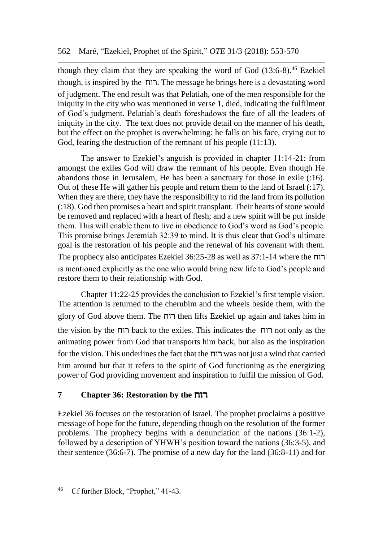though they claim that they are speaking the word of God  $(13:6-8)$ .<sup>46</sup> Ezekiel though, is inspired by the רוח. The message he brings here is a devastating word of judgment. The end result was that Pelatiah, one of the men responsible for the iniquity in the city who was mentioned in verse 1, died, indicating the fulfilment of God's judgment. Pelatiah's death foreshadows the fate of all the leaders of iniquity in the city. The text does not provide detail on the manner of his death, but the effect on the prophet is overwhelming: he falls on his face, crying out to God, fearing the destruction of the remnant of his people (11:13).

The answer to Ezekiel's anguish is provided in chapter 11:14-21: from amongst the exiles God will draw the remnant of his people. Even though He abandons those in Jerusalem, He has been a sanctuary for those in exile (:16). Out of these He will gather his people and return them to the land of Israel (:17). When they are there, they have the responsibility to rid the land from its pollution (:18). God then promises a heart and spirit transplant. Their hearts of stone would be removed and replaced with a heart of flesh; and a new spirit will be put inside them. This will enable them to live in obedience to God's word as God's people. This promise brings Jeremiah 32:39 to mind. It is thus clear that God's ultimate goal is the restoration of his people and the renewal of his covenant with them. The prophecy also anticipates Ezekiel 36:25-28 as well as 37:1-14 where the רוח is mentioned explicitly as the one who would bring new life to God's people and restore them to their relationship with God.

Chapter 11:22-25 provides the conclusion to Ezekiel's first temple vision. The attention is returned to the cherubim and the wheels beside them, with the glory of God above them. The רוח then lifts Ezekiel up again and takes him in the vision by the רוח back to the exiles. This indicates the רוח not only as the animating power from God that transports him back, but also as the inspiration for the vision. This underlines the fact that the רוח was not just a wind that carried him around but that it refers to the spirit of God functioning as the energizing power of God providing movement and inspiration to fulfil the mission of God.

# **7 Chapter 36: Restoration by the** רוח

Ezekiel 36 focuses on the restoration of Israel. The prophet proclaims a positive message of hope for the future, depending though on the resolution of the former problems. The prophecy begins with a denunciation of the nations (36:1-2), followed by a description of YHWH's position toward the nations (36:3-5), and their sentence (36:6-7). The promise of a new day for the land (36:8-11) and for

l <sup>46</sup> Cf further Block, "Prophet," 41-43.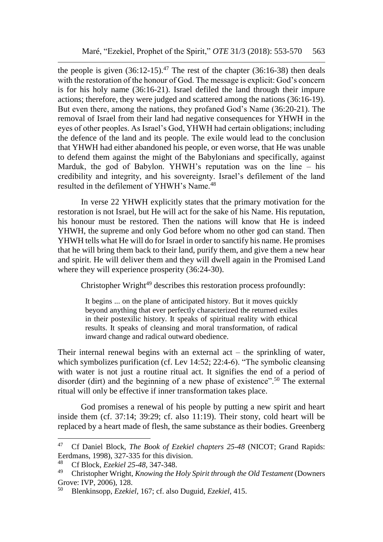the people is given  $(36:12-15)$ .<sup>47</sup> The rest of the chapter  $(36:16-38)$  then deals with the restoration of the honour of God. The message is explicit: God's concern is for his holy name (36:16-21). Israel defiled the land through their impure actions; therefore, they were judged and scattered among the nations (36:16-19). But even there, among the nations, they profaned God's Name (36:20-21). The removal of Israel from their land had negative consequences for YHWH in the eyes of other peoples. As Israel's God, YHWH had certain obligations; including the defence of the land and its people. The exile would lead to the conclusion that YHWH had either abandoned his people, or even worse, that He was unable to defend them against the might of the Babylonians and specifically, against Marduk, the god of Babylon. YHWH's reputation was on the line – his credibility and integrity, and his sovereignty. Israel's defilement of the land resulted in the defilement of YHWH's Name.<sup>48</sup>

In verse 22 YHWH explicitly states that the primary motivation for the restoration is not Israel, but He will act for the sake of his Name. His reputation, his honour must be restored. Then the nations will know that He is indeed YHWH, the supreme and only God before whom no other god can stand. Then YHWH tells what He will do for Israel in order to sanctify his name. He promises that he will bring them back to their land, purify them, and give them a new hear and spirit. He will deliver them and they will dwell again in the Promised Land where they will experience prosperity (36:24-30).

Christopher Wright $49$  describes this restoration process profoundly:

It begins ... on the plane of anticipated history. But it moves quickly beyond anything that ever perfectly characterized the returned exiles in their postexilic history. It speaks of spiritual reality with ethical results. It speaks of cleansing and moral transformation, of radical inward change and radical outward obedience.

Their internal renewal begins with an external act  $-$  the sprinkling of water, which symbolizes purification (cf. Lev 14:52; 22:4-6). "The symbolic cleansing with water is not just a routine ritual act. It signifies the end of a period of disorder (dirt) and the beginning of a new phase of existence".<sup>50</sup> The external ritual will only be effective if inner transformation takes place.

God promises a renewal of his people by putting a new spirit and heart inside them (cf. 37:14; 39:29; cf. also 11:19). Their stony, cold heart will be replaced by a heart made of flesh, the same substance as their bodies. Greenberg

<sup>47</sup> <sup>47</sup> Cf Daniel Block, *The Book of Ezekiel chapters 25-48* (NICOT; Grand Rapids: Eerdmans, 1998), 327-335 for this division.

<sup>48</sup> Cf Block, *Ezekiel 25-48,* 347-348.

<sup>49</sup> Christopher Wright, *Knowing the Holy Spirit through the Old Testament* (Downers Grove: IVP, 2006), 128.

<sup>50</sup> Blenkinsopp, *Ezekiel,* 167; cf. also Duguid, *Ezekiel,* 415.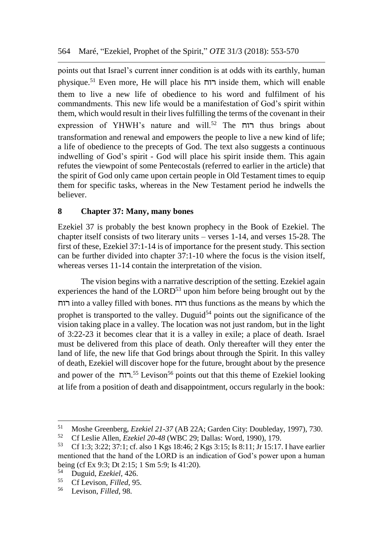points out that Israel's current inner condition is at odds with its earthly, human physique.<sup>51</sup> Even more, He will place his רוח inside them, which will enable them to live a new life of obedience to his word and fulfilment of his commandments. This new life would be a manifestation of God's spirit within them, which would result in their lives fulfilling the terms of the covenant in their expression of YHWH's nature and will.<sup>52</sup> The רוח thus brings about transformation and renewal and empowers the people to live a new kind of life; a life of obedience to the precepts of God. The text also suggests a continuous indwelling of God's spirit - God will place his spirit inside them. This again refutes the viewpoint of some Pentecostals (referred to earlier in the article) that the spirit of God only came upon certain people in Old Testament times to equip them for specific tasks, whereas in the New Testament period he indwells the believer.

## **8 Chapter 37: Many, many bones**

Ezekiel 37 is probably the best known prophecy in the Book of Ezekiel. The chapter itself consists of two literary units – verses 1-14, and verses 15-28. The first of these, Ezekiel 37:1-14 is of importance for the present study. This section can be further divided into chapter 37:1-10 where the focus is the vision itself, whereas verses 11-14 contain the interpretation of the vision.

The vision begins with a narrative description of the setting. Ezekiel again experiences the hand of the  $LORD<sup>53</sup>$  upon him before being brought out by the רוח into a valley filled with bones. רוח thus functions as the means by which the prophet is transported to the valley. Duguid<sup>54</sup> points out the significance of the vision taking place in a valley. The location was not just random, but in the light of 3:22-23 it becomes clear that it is a valley in exile; a place of death. Israel must be delivered from this place of death. Only thereafter will they enter the land of life, the new life that God brings about through the Spirit. In this valley of death, Ezekiel will discover hope for the future, brought about by the presence and power of the רוח.<sup>55</sup> Levison<sup>56</sup> points out that this theme of Ezekiel looking at life from a position of death and disappointment, occurs regularly in the book:

 $51$ <sup>51</sup> Moshe Greenberg, *Ezekiel 21-37* (AB 22A; Garden City: Doubleday, 1997), 730.<br><sup>52</sup> Cf Leslie Allan, *Ezekiel 20, 48* (WBC 29: Dallas: Word, 1990), 179

<sup>52</sup> Cf Leslie Allen, *Ezekiel 20-48* (WBC 29; Dallas: Word, 1990), 179.

<sup>53</sup> Cf 1:3; 3:22; 37:1; cf. also 1 Kgs 18:46; 2 Kgs 3:15; Is 8:11; Jr 15:17. I have earlier mentioned that the hand of the LORD is an indication of God's power upon a human being (cf Ex 9:3; Dt 2:15; 1 Sm 5:9; Is 41:20).<br><sup>54</sup> Duguid *Ezgliel*, 426

<sup>54</sup> Duguid, *Ezekiel*, 426.

<sup>55</sup> Cf Levison, *Filled*, 95.

<sup>56</sup> Levison, *Filled*, 98.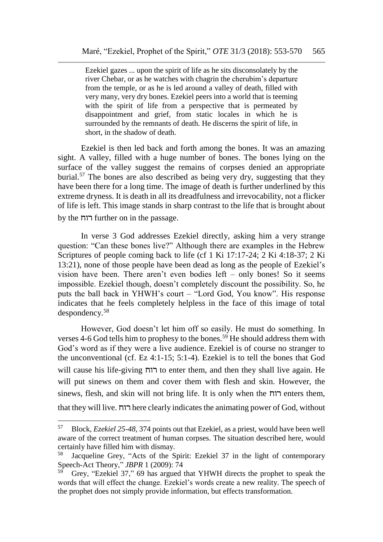Ezekiel gazes ... upon the spirit of life as he sits disconsolately by the river Chebar, or as he watches with chagrin the cherubim's departure from the temple, or as he is led around a valley of death, filled with very many, very dry bones. Ezekiel peers into a world that is teeming with the spirit of life from a perspective that is permeated by disappointment and grief, from static locales in which he is surrounded by the remnants of death. He discerns the spirit of life, in short, in the shadow of death.

Ezekiel is then led back and forth among the bones. It was an amazing sight. A valley, filled with a huge number of bones. The bones lying on the surface of the valley suggest the remains of corpses denied an appropriate burial.<sup>57</sup> The bones are also described as being very dry, suggesting that they have been there for a long time. The image of death is further underlined by this extreme dryness. It is death in all its dreadfulness and irrevocability, not a flicker of life is left. This image stands in sharp contrast to the life that is brought about by the רוח further on in the passage.

In verse 3 God addresses Ezekiel directly, asking him a very strange question: "Can these bones live?" Although there are examples in the Hebrew Scriptures of people coming back to life (cf 1 Ki 17:17-24; 2 Ki 4:18-37; 2 Ki 13:21), none of those people have been dead as long as the people of Ezekiel's vision have been. There aren't even bodies left – only bones! So it seems impossible. Ezekiel though, doesn't completely discount the possibility. So, he puts the ball back in YHWH's court – "Lord God, You know". His response indicates that he feels completely helpless in the face of this image of total despondency.<sup>58</sup>

However, God doesn't let him off so easily. He must do something. In verses 4-6 God tells him to prophesy to the bones.<sup>59</sup> He should address them with God's word as if they were a live audience. Ezekiel is of course no stranger to the unconventional (cf. Ez 4:1-15; 5:1-4). Ezekiel is to tell the bones that God will cause his life-giving רוח to enter them, and then they shall live again. He will put sinews on them and cover them with flesh and skin. However, the sinews, flesh, and skin will not bring life. It is only when the רוח enters them, that they will live. רוח here clearly indicates the animating power of God, without

<sup>57</sup> Block, *Ezekiel 25-48,* 374 points out that Ezekiel, as a priest, would have been well aware of the correct treatment of human corpses. The situation described here, would certainly have filled him with dismay.

<sup>58</sup> Jacqueline Grey, "Acts of the Spirit: Ezekiel 37 in the light of contemporary Speech-Act Theory," *JBPR* 1 (2009): 74

<sup>59</sup> Grey, "Ezekiel 37," 69 has argued that YHWH directs the prophet to speak the words that will effect the change. Ezekiel's words create a new reality. The speech of the prophet does not simply provide information, but effects transformation.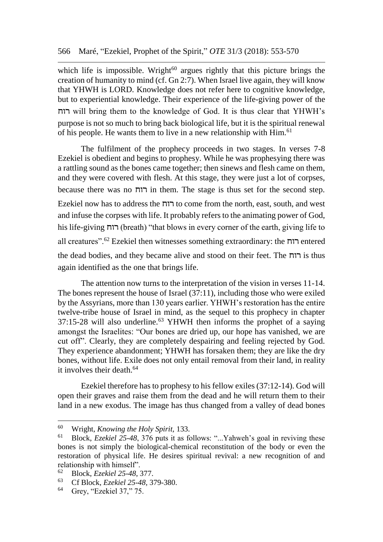which life is impossible. Wright $^{60}$  argues rightly that this picture brings the creation of humanity to mind (cf. Gn 2:7). When Israel live again, they will know that YHWH is LORD. Knowledge does not refer here to cognitive knowledge, but to experiential knowledge. Their experience of the life-giving power of the רוח will bring them to the knowledge of God. It is thus clear that YHWH's purpose is not so much to bring back biological life, but it is the spiritual renewal of his people. He wants them to live in a new relationship with Him.<sup>61</sup>

The fulfilment of the prophecy proceeds in two stages. In verses 7-8 Ezekiel is obedient and begins to prophesy. While he was prophesying there was a rattling sound as the bones came together; then sinews and flesh came on them, and they were covered with flesh. At this stage, they were just a lot of corpses, because there was no רוח in them. The stage is thus set for the second step.

Ezekiel now has to address the רוח to come from the north, east, south, and west and infuse the corpses with life. It probably refers to the animating power of God, his life-giving רוח) breath) "that blows in every corner of the earth, giving life to all creatures".<sup>62</sup> Ezekiel then witnesses something extraordinary: the רוח entered the dead bodies, and they became alive and stood on their feet. The רוח is thus again identified as the one that brings life.

The attention now turns to the interpretation of the vision in verses 11-14. The bones represent the house of Israel (37:11), including those who were exiled by the Assyrians, more than 130 years earlier. YHWH's restoration has the entire twelve-tribe house of Israel in mind, as the sequel to this prophecy in chapter  $37:15-28$  will also underline.<sup>63</sup> YHWH then informs the prophet of a saying amongst the Israelites: "Our bones are dried up, our hope has vanished, we are cut off". Clearly, they are completely despairing and feeling rejected by God. They experience abandonment; YHWH has forsaken them; they are like the dry bones, without life. Exile does not only entail removal from their land, in reality it involves their death.<sup>64</sup>

Ezekiel therefore has to prophesy to his fellow exiles (37:12-14). God will open their graves and raise them from the dead and he will return them to their land in a new exodus. The image has thus changed from a valley of dead bones

<sup>60</sup> <sup>60</sup> Wright, *Knowing the Holy Spirit,* 133.

<sup>61</sup> Block, *Ezekiel 25-48*, 376 puts it as follows: "...Yahweh's goal in reviving these bones is not simply the biological-chemical reconstitution of the body or even the restoration of physical life. He desires spiritual revival: a new recognition of and relationship with himself".<br> $^{62}$  Block Eachiel 25.48

<sup>62</sup> Block, *Ezekiel 25-48*, 377.

<sup>&</sup>lt;sup>63</sup> Cf Block, *Ezekiel 25-48*, 379-380.<br><sup>64</sup> Gray, "Ezekiel 37" 75

Grey, "Ezekiel 37," 75.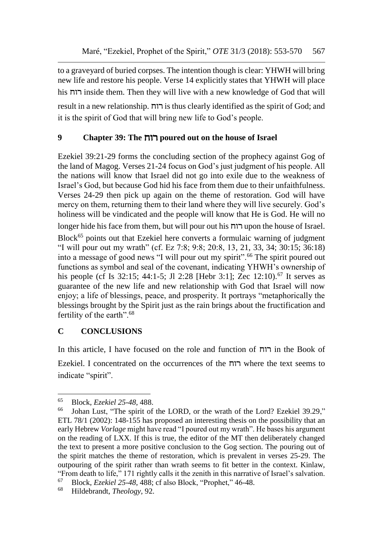to a graveyard of buried corpses. The intention though is clear: YHWH will bring new life and restore his people. Verse 14 explicitly states that YHWH will place his רוח inside them. Then they will live with a new knowledge of God that will

result in a new relationship. רוח is thus clearly identified as the spirit of God; and it is the spirit of God that will bring new life to God's people.

# **9 Chapter 39: The** רוח **poured out on the house of Israel**

Ezekiel 39:21-29 forms the concluding section of the prophecy against Gog of the land of Magog. Verses 21-24 focus on God's just judgment of his people. All the nations will know that Israel did not go into exile due to the weakness of Israel's God, but because God hid his face from them due to their unfaithfulness. Verses 24-29 then pick up again on the theme of restoration. God will have mercy on them, returning them to their land where they will live securely. God's holiness will be vindicated and the people will know that He is God. He will no

longer hide his face from them, but will pour out his רוח upon the house of Israel.

Block<sup>65</sup> points out that Ezekiel here converts a formulaic warning of judgment "I will pour out my wrath" (cf. Ez 7:8; 9:8; 20:8, 13, 21, 33, 34; 30:15; 36:18) into a message of good news "I will pour out my spirit".<sup>66</sup> The spirit poured out functions as symbol and seal of the covenant, indicating YHWH's ownership of his people (cf Is 32:15; 44:1-5; Jl 2:28 [Hebr 3:1]; Zec 12:10).<sup>67</sup> It serves as guarantee of the new life and new relationship with God that Israel will now enjoy; a life of blessings, peace, and prosperity. It portrays "metaphorically the blessings brought by the Spirit just as the rain brings about the fructification and fertility of the earth".<sup>68</sup>

# **C CONCLUSIONS**

In this article, I have focused on the role and function of רוח in the Book of Ezekiel. I concentrated on the occurrences of the רוח where the text seems to indicate "spirit".

<sup>65</sup> <sup>65</sup> Block, *Ezekiel 25-48*, 488.

Johan Lust, "The spirit of the LORD, or the wrath of the Lord? Ezekiel 39.29," ETL 78/1 (2002): 148-155 has proposed an interesting thesis on the possibility that an early Hebrew *Vorlage* might have read "I poured out my wrath". He bases his argument on the reading of LXX. If this is true, the editor of the MT then deliberately changed the text to present a more positive conclusion to the Gog section. The pouring out of the spirit matches the theme of restoration, which is prevalent in verses 25-29. The outpouring of the spirit rather than wrath seems to fit better in the context. Kinlaw, "From death to life," 171 rightly calls it the zenith in this narrative of Israel's salvation.

<sup>&</sup>lt;sup>67</sup> Block, *Ezekiel 25-48*, 488; cf also Block, "Prophet," 46-48.<br><sup>68</sup> Hildebrandt *Theology* 92

<sup>68</sup> Hildebrandt, *Theology,* 92.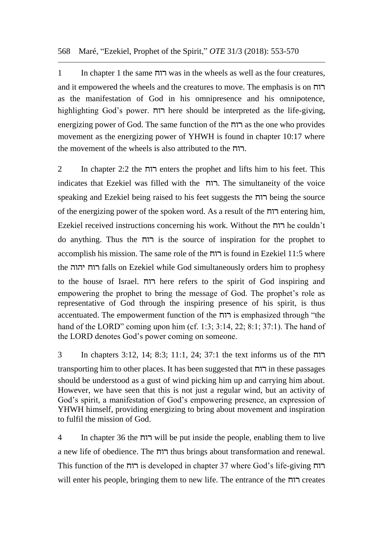568 Maré, "Ezekiel, Prophet of the Spirit," *OTE* 31/3 (2018): 553-570

1 In chapter 1 the same רוח was in the wheels as well as the four creatures, and it empowered the wheels and the creatures to move. The emphasis is on רוח as the manifestation of God in his omnipresence and his omnipotence, highlighting God's power. רוח here should be interpreted as the life-giving, energizing power of God. The same function of the רוח as the one who provides movement as the energizing power of YHWH is found in chapter 10:17 where the movement of the wheels is also attributed to the רוח.

2 In chapter 2:2 the רוח enters the prophet and lifts him to his feet. This indicates that Ezekiel was filled with the רוח. The simultaneity of the voice speaking and Ezekiel being raised to his feet suggests the רוח being the source of the energizing power of the spoken word. As a result of the רוח entering him, Ezekiel received instructions concerning his work. Without the רוח he couldn't do anything. Thus the רוח is the source of inspiration for the prophet to accomplish his mission. The same role of the רוח is found in Ezekiel 11:5 where the יהוה רוח falls on Ezekiel while God simultaneously orders him to prophesy to the house of Israel. רוח here refers to the spirit of God inspiring and empowering the prophet to bring the message of God. The prophet's role as representative of God through the inspiring presence of his spirit, is thus accentuated. The empowerment function of the רוח is emphasized through "the hand of the LORD" coming upon him (cf. 1:3; 3:14, 22; 8:1; 37:1). The hand of the LORD denotes God's power coming on someone.

3 In chapters 3:12, 14; 8:3; 11:1, 24; 37:1 the text informs us of the רוח transporting him to other places. It has been suggested that רוח in these passages should be understood as a gust of wind picking him up and carrying him about. However, we have seen that this is not just a regular wind, but an activity of God's spirit, a manifestation of God's empowering presence, an expression of YHWH himself, providing energizing to bring about movement and inspiration to fulfil the mission of God.

4 In chapter 36 the רוח will be put inside the people, enabling them to live a new life of obedience. The רוח thus brings about transformation and renewal. This function of the רוח is developed in chapter 37 where God's life-giving רוח will enter his people, bringing them to new life. The entrance of the רוח creates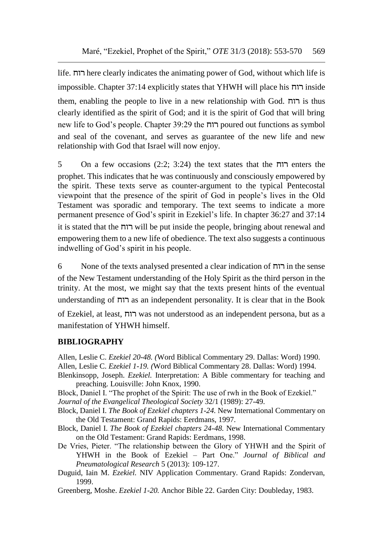life. רוח here clearly indicates the animating power of God, without which life is impossible. Chapter 37:14 explicitly states that YHWH will place his רוח inside them, enabling the people to live in a new relationship with God. רוח is thus clearly identified as the spirit of God; and it is the spirit of God that will bring new life to God's people. Chapter 39:29 the רוח poured out functions as symbol and seal of the covenant, and serves as guarantee of the new life and new relationship with God that Israel will now enjoy.

5 On a few occasions (2:2; 3:24) the text states that the רוח enters the prophet. This indicates that he was continuously and consciously empowered by the spirit. These texts serve as counter-argument to the typical Pentecostal viewpoint that the presence of the spirit of God in people's lives in the Old Testament was sporadic and temporary. The text seems to indicate a more permanent presence of God's spirit in Ezekiel's life. In chapter 36:27 and 37:14 it is stated that the רוח will be put inside the people, bringing about renewal and empowering them to a new life of obedience. The text also suggests a continuous indwelling of God's spirit in his people.

6 None of the texts analysed presented a clear indication of רוח in the sense of the New Testament understanding of the Holy Spirit as the third person in the trinity. At the most, we might say that the texts present hints of the eventual understanding of רוח as an independent personality. It is clear that in the Book

of Ezekiel, at least, רוח was not understood as an independent persona, but as a manifestation of YHWH himself.

## **BIBLIOGRAPHY**

Allen, Leslie C. *Ezekiel 20-48. (*Word Biblical Commentary 29. Dallas: Word) 1990. Allen, Leslie C. *Ezekiel 1-19. (*Word Biblical Commentary 28. Dallas: Word) 1994.

Blenkinsopp, Joseph. *Ezekiel.* Interpretation: A Bible commentary for teaching and preaching. Louisville: John Knox, 1990.

Block, Daniel I. "The prophet of the Spirit: The use of rwh in the Book of Ezekiel." *Journal of the Evangelical Theological Society* 32/1 (1989): 27-49.

Block, Daniel I. *The Book of Ezekiel chapters 1-24.* New International Commentary on the Old Testament: Grand Rapids: Eerdmans, 1997.

Block, Daniel I. *The Book of Ezekiel chapters 24-48.* New International Commentary on the Old Testament: Grand Rapids: Eerdmans, 1998.

De Vries, Pieter. "The relationship between the Glory of YHWH and the Spirit of YHWH in the Book of Ezekiel – Part One." *Journal of Biblical and Pneumatological Research* 5 (2013): 109-127.

Duguid, Iain M. *Ezekiel.* NIV Application Commentary. Grand Rapids: Zondervan, 1999.

Greenberg, Moshe. *Ezekiel 1-20.* Anchor Bible 22. Garden City: Doubleday, 1983.